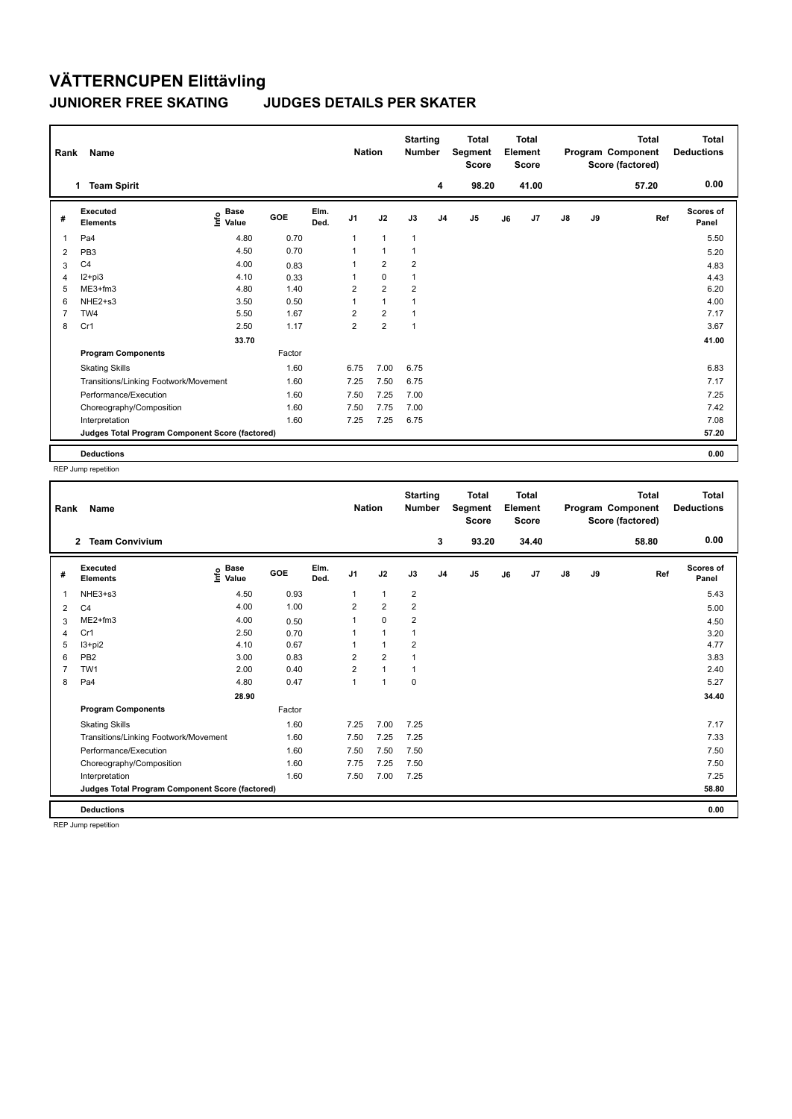## **VÄTTERNCUPEN Elittävling JUNIORER FREE SKATING JUDGES DETAILS PER SKATER**

|                | Name<br>Rank                                    |                              |        |              |                | <b>Nation</b>        |                | <b>Starting</b><br><b>Number</b> | <b>Total</b><br>Segment<br><b>Score</b> | <b>Total</b><br>Element<br><b>Score</b> |       |               |      | <b>Total</b><br>Program Component<br>Score (factored) | Total<br><b>Deductions</b> |
|----------------|-------------------------------------------------|------------------------------|--------|--------------|----------------|----------------------|----------------|----------------------------------|-----------------------------------------|-----------------------------------------|-------|---------------|------|-------------------------------------------------------|----------------------------|
|                | <b>Team Spirit</b><br>$\mathbf{1}$              |                              |        |              |                |                      |                | 4                                | 98.20                                   |                                         | 41.00 |               |      | 57.20                                                 | 0.00                       |
| #              | Executed<br><b>Elements</b>                     | <b>Base</b><br>lnfo<br>Value | GOE    | Elm.<br>Ded. | J <sub>1</sub> | J2                   | J3             | J <sub>4</sub>                   | J <sub>5</sub>                          | J6                                      | J7    | $\mathsf{J}8$ | J9   | Ref                                                   | <b>Scores of</b><br>Panel  |
| 1              | Pa <sub>4</sub>                                 | 4.80                         | 0.70   |              |                | $\mathbf{1}$         | $\mathbf{1}$   |                                  |                                         |                                         |       |               |      |                                                       | 5.50                       |
| 2              | PB <sub>3</sub>                                 | 4.50                         | 0.70   |              |                | $\blacktriangleleft$ | $\mathbf 1$    |                                  |                                         |                                         |       |               |      |                                                       | 5.20                       |
| 3              | C <sub>4</sub>                                  | 4.00                         | 0.83   |              |                | $\overline{2}$       | $\overline{2}$ |                                  |                                         |                                         |       |               |      |                                                       | 4.83                       |
| $\overline{4}$ | $12+pi3$                                        | 4.10                         | 0.33   |              |                | $\pmb{0}$            | $\mathbf{1}$   |                                  |                                         |                                         |       |               |      |                                                       | 4.43                       |
| 5              | ME3+fm3                                         | 4.80                         | 1.40   |              | 2              | $\overline{2}$       | $\overline{2}$ |                                  |                                         |                                         |       |               |      |                                                       | 6.20                       |
| 6              | NHE2+s3                                         | 3.50                         | 0.50   |              |                | $\mathbf{1}$         | $\overline{1}$ |                                  |                                         |                                         |       |               |      |                                                       | 4.00                       |
| $\overline{7}$ | TW <sub>4</sub>                                 | 5.50                         | 1.67   |              | $\overline{2}$ | $\overline{2}$       |                |                                  |                                         |                                         |       |               |      |                                                       | 7.17                       |
| 8              | Cr1                                             | 2.50                         | 1.17   |              | $\overline{2}$ | $\overline{2}$       | $\mathbf{1}$   |                                  |                                         |                                         |       |               |      |                                                       | 3.67                       |
|                |                                                 | 33.70                        |        |              |                |                      |                |                                  |                                         |                                         |       |               |      |                                                       | 41.00                      |
|                | <b>Program Components</b>                       |                              | Factor |              |                |                      |                |                                  |                                         |                                         |       |               |      |                                                       |                            |
|                | <b>Skating Skills</b>                           |                              | 1.60   |              | 6.75           | 7.00                 | 6.75           |                                  |                                         |                                         |       |               |      |                                                       | 6.83                       |
|                | Transitions/Linking Footwork/Movement<br>1.60   |                              | 7.25   | 7.50         | 6.75           |                      |                |                                  |                                         |                                         |       |               | 7.17 |                                                       |                            |
|                | Performance/Execution                           |                              | 1.60   |              | 7.50           | 7.25                 | 7.00           |                                  |                                         |                                         |       |               |      |                                                       | 7.25                       |
|                | Choreography/Composition                        |                              | 1.60   |              | 7.50           | 7.75                 | 7.00           |                                  |                                         |                                         |       |               |      |                                                       | 7.42                       |
|                | Interpretation                                  |                              | 1.60   |              | 7.25           | 7.25                 | 6.75           |                                  |                                         |                                         |       |               |      |                                                       | 7.08                       |
|                | Judges Total Program Component Score (factored) |                              |        |              |                |                      |                |                                  |                                         |                                         |       |               |      |                                                       | 57.20                      |
|                | <b>Deductions</b>                               |                              |        |              |                |                      |                |                                  |                                         |                                         |       |               |      |                                                       | 0.00                       |

REP Jump repetition

| Rank | Name                                            |                                  |        |              | <b>Nation</b>  |                | <b>Starting</b><br><b>Number</b> |                | <b>Total</b><br>Segment<br><b>Score</b> |    | <b>Total</b><br>Element<br><b>Score</b> |               |    | <b>Total</b><br>Program Component<br>Score (factored) | Total<br><b>Deductions</b> |
|------|-------------------------------------------------|----------------------------------|--------|--------------|----------------|----------------|----------------------------------|----------------|-----------------------------------------|----|-----------------------------------------|---------------|----|-------------------------------------------------------|----------------------------|
|      | <b>Team Convivium</b><br>$\overline{2}$         |                                  |        |              |                |                |                                  | 3              | 93.20                                   |    | 34.40                                   |               |    | 58.80                                                 | 0.00                       |
| #    | Executed<br><b>Elements</b>                     | <b>Base</b><br>o Base<br>⊆ Value | GOE    | Elm.<br>Ded. | J <sub>1</sub> | J2             | J3                               | J <sub>4</sub> | J <sub>5</sub>                          | J6 | J7                                      | $\mathsf{J}8$ | J9 | Ref                                                   | <b>Scores of</b><br>Panel  |
| 1    | NHE3+s3                                         | 4.50                             | 0.93   |              | 1              | $\mathbf{1}$   | $\overline{2}$                   |                |                                         |    |                                         |               |    |                                                       | 5.43                       |
| 2    | C <sub>4</sub>                                  | 4.00                             | 1.00   |              | 2              | $\overline{2}$ | 2                                |                |                                         |    |                                         |               |    |                                                       | 5.00                       |
| 3    | $ME2+fm3$                                       | 4.00                             | 0.50   |              | 1              | $\mathbf 0$    | $\overline{2}$                   |                |                                         |    |                                         |               |    |                                                       | 4.50                       |
| 4    | Cr1                                             | 2.50                             | 0.70   |              |                | $\mathbf 1$    |                                  |                |                                         |    |                                         |               |    |                                                       | 3.20                       |
| 5    | $13+pi2$                                        | 4.10                             | 0.67   |              |                | $\mathbf{1}$   | 2                                |                |                                         |    |                                         |               |    |                                                       | 4.77                       |
| 6    | PB <sub>2</sub>                                 | 3.00                             | 0.83   |              | $\overline{2}$ | $\overline{2}$ |                                  |                |                                         |    |                                         |               |    |                                                       | 3.83                       |
|      | TW <sub>1</sub>                                 | 2.00                             | 0.40   |              | $\overline{2}$ | $\mathbf{1}$   | $\mathbf 1$                      |                |                                         |    |                                         |               |    |                                                       | 2.40                       |
| 8    | Pa4                                             | 4.80                             | 0.47   |              | 1              | $\mathbf{1}$   | $\mathbf 0$                      |                |                                         |    |                                         |               |    |                                                       | 5.27                       |
|      |                                                 | 28.90                            |        |              |                |                |                                  |                |                                         |    |                                         |               |    |                                                       | 34.40                      |
|      | <b>Program Components</b>                       |                                  | Factor |              |                |                |                                  |                |                                         |    |                                         |               |    |                                                       |                            |
|      | <b>Skating Skills</b>                           |                                  | 1.60   |              | 7.25           | 7.00           | 7.25                             |                |                                         |    |                                         |               |    |                                                       | 7.17                       |
|      | Transitions/Linking Footwork/Movement           |                                  | 1.60   |              | 7.50           | 7.25           | 7.25                             |                |                                         |    |                                         |               |    |                                                       | 7.33                       |
|      | Performance/Execution                           |                                  | 1.60   |              | 7.50           | 7.50           | 7.50                             |                |                                         |    |                                         |               |    |                                                       | 7.50                       |
|      | Choreography/Composition                        |                                  | 1.60   |              | 7.75           | 7.25           | 7.50                             |                |                                         |    |                                         |               |    |                                                       | 7.50                       |
|      | Interpretation                                  |                                  | 1.60   |              | 7.50           | 7.00           | 7.25                             |                |                                         |    |                                         |               |    |                                                       | 7.25                       |
|      | Judges Total Program Component Score (factored) |                                  |        |              |                |                |                                  |                |                                         |    |                                         |               |    |                                                       | 58.80                      |
|      | <b>Deductions</b>                               |                                  |        |              |                |                |                                  |                |                                         |    |                                         |               |    |                                                       | 0.00                       |

REP Jump repetition